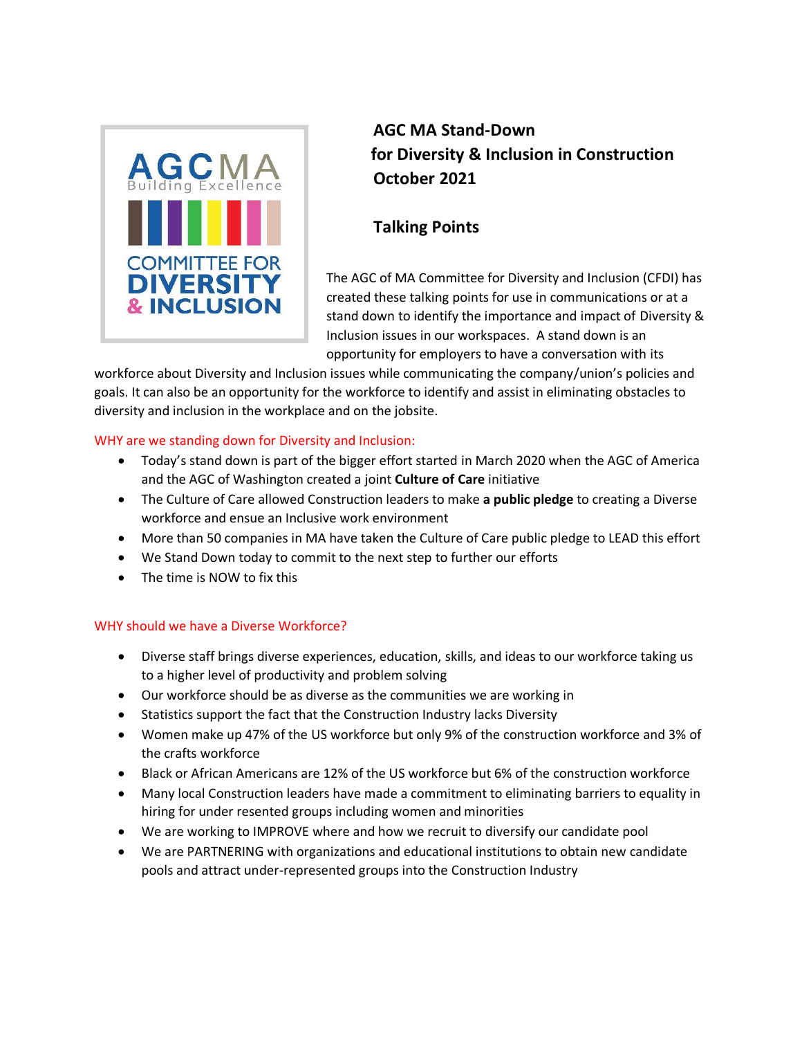

**AGC MA Stand-Down for Diversity & Inclusion in Construction October 2021**

# **Talking Points**

The AGC of MA Committee for Diversity and Inclusion (CFDI) has created these talking points for use in communications or at a stand down to identify the importance and impact of Diversity & Inclusion issues in our workspaces. A stand down is an opportunity for employers to have a conversation with its

workforce about Diversity and Inclusion issues while communicating the company/union's policies and goals. It can also be an opportunity for the workforce to identify and assist in eliminating obstacles to diversity and inclusion in the workplace and on the jobsite.

## WHY are we standing down for Diversity and Inclusion:

- Today's stand down is part of the bigger effort started in March 2020 when the AGC of America and the AGC of Washington created a joint **Culture of Care** initiative
- The Culture of Care allowed Construction leaders to make **a public pledge** to creating a Diverse workforce and ensue an Inclusive work environment
- More than 50 companies in MA have taken the Culture of Care public pledge to LEAD this effort
- We Stand Down today to commit to the next step to further our efforts
- The time is NOW to fix this

# WHY should we have a Diverse Workforce?

- Diverse staff brings diverse experiences, education, skills, and ideas to our workforce taking us to a higher level of productivity and problem solving
- Our workforce should be as diverse as the communities we are working in
- Statistics support the fact that the Construction Industry lacks Diversity
- Women make up 47% of the US workforce but only 9% of the construction workforce and 3% of the crafts workforce
- Black or African Americans are 12% of the US workforce but 6% of the construction workforce
- Many local Construction leaders have made a commitment to eliminating barriers to equality in hiring for under resented groups including women and minorities
- We are working to IMPROVE where and how we recruit to diversify our candidate pool
- We are PARTNERING with organizations and educational institutions to obtain new candidate pools and attract under-represented groups into the Construction Industry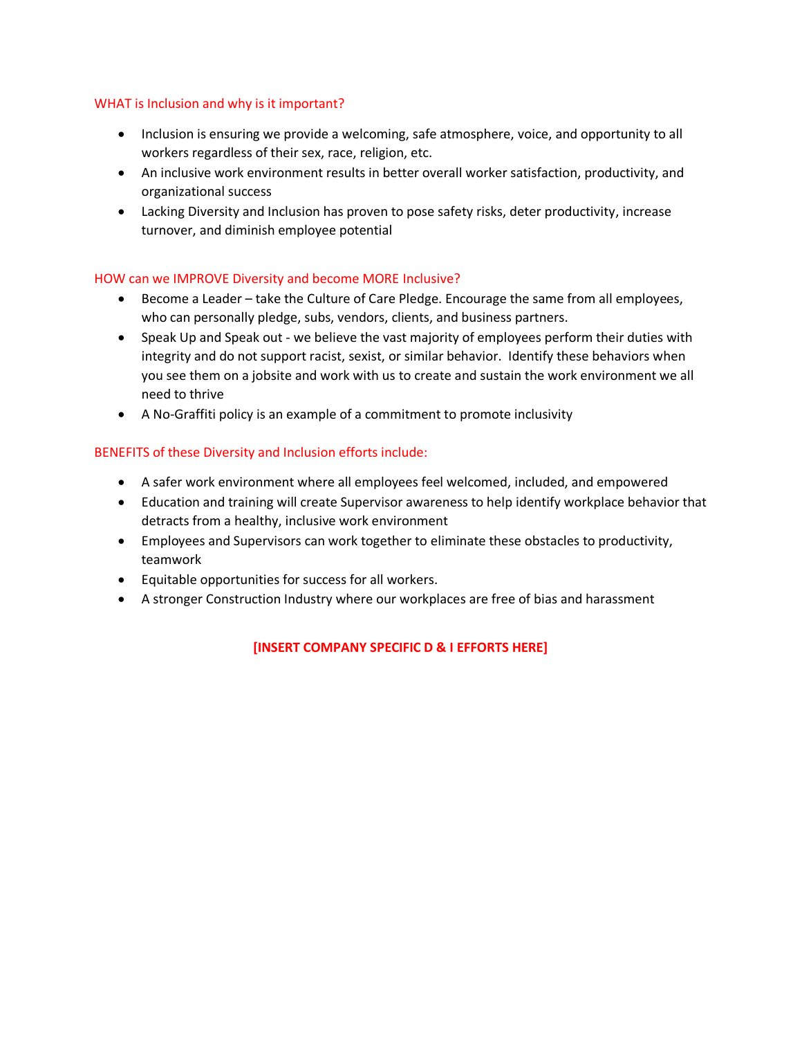### WHAT is Inclusion and why is it important?

- Inclusion is ensuring we provide a welcoming, safe atmosphere, voice, and opportunity to all workers regardless of their sex, race, religion, etc.
- An inclusive work environment results in better overall worker satisfaction, productivity, and organizational success
- Lacking Diversity and Inclusion has proven to pose safety risks, deter productivity, increase turnover, and diminish employee potential

### HOW can we IMPROVE Diversity and become MORE Inclusive?

- Become a Leader take the Culture of Care Pledge. Encourage the same from all employees, who can personally pledge, subs, vendors, clients, and business partners.
- Speak Up and Speak out we believe the vast majority of employees perform their duties with integrity and do not support racist, sexist, or similar behavior. Identify these behaviors when you see them on a jobsite and work with us to create and sustain the work environment we all need to thrive
- A No-Graffiti policy is an example of a commitment to promote inclusivity

## BENEFITS of these Diversity and Inclusion efforts include:

- A safer work environment where all employees feel welcomed, included, and empowered
- Education and training will create Supervisor awareness to help identify workplace behavior that detracts from a healthy, inclusive work environment
- Employees and Supervisors can work together to eliminate these obstacles to productivity, teamwork
- Equitable opportunities for success for all workers.
- A stronger Construction Industry where our workplaces are free of bias and harassment

## **[INSERT COMPANY SPECIFIC D & I EFFORTS HERE]**